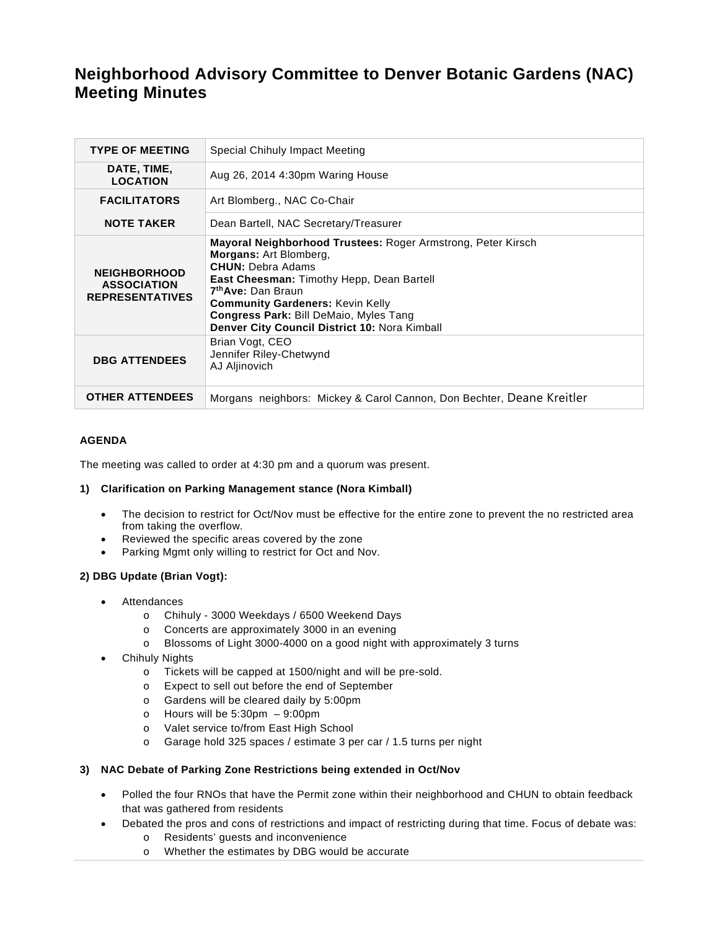# **Neighborhood Advisory Committee to Denver Botanic Gardens (NAC) Meeting Minutes**

| <b>TYPE OF MEETING</b>                                              | Special Chihuly Impact Meeting                                                                                                                                                                                                                                                                                                                        |
|---------------------------------------------------------------------|-------------------------------------------------------------------------------------------------------------------------------------------------------------------------------------------------------------------------------------------------------------------------------------------------------------------------------------------------------|
| DATE, TIME,<br><b>LOCATION</b>                                      | Aug 26, 2014 4:30pm Waring House                                                                                                                                                                                                                                                                                                                      |
| <b>FACILITATORS</b>                                                 | Art Blomberg., NAC Co-Chair                                                                                                                                                                                                                                                                                                                           |
| <b>NOTE TAKER</b>                                                   | Dean Bartell, NAC Secretary/Treasurer                                                                                                                                                                                                                                                                                                                 |
| <b>NEIGHBORHOOD</b><br><b>ASSOCIATION</b><br><b>REPRESENTATIVES</b> | <b>Mayoral Neighborhood Trustees: Roger Armstrong, Peter Kirsch</b><br>Morgans: Art Blomberg,<br><b>CHUN: Debra Adams</b><br>East Cheesman: Timothy Hepp, Dean Bartell<br>7 <sup>th</sup> Ave: Dan Braun<br><b>Community Gardeners: Kevin Kelly</b><br><b>Congress Park: Bill DeMaio, Myles Tang</b><br>Denver City Council District 10: Nora Kimball |
| <b>DBG ATTENDEES</b>                                                | Brian Vogt, CEO<br>Jennifer Riley-Chetwynd<br>AJ Aljinovich                                                                                                                                                                                                                                                                                           |
| <b>OTHER ATTENDEES</b>                                              | Morgans neighbors: Mickey & Carol Cannon, Don Bechter, Deane Kreitler                                                                                                                                                                                                                                                                                 |

## **AGENDA**

The meeting was called to order at 4:30 pm and a quorum was present.

#### **1) Clarification on Parking Management stance (Nora Kimball)**

- The decision to restrict for Oct/Nov must be effective for the entire zone to prevent the no restricted area from taking the overflow.
- Reviewed the specific areas covered by the zone
- Parking Mgmt only willing to restrict for Oct and Nov.

#### **2) DBG Update (Brian Vogt):**

- Attendances
	- o Chihuly 3000 Weekdays / 6500 Weekend Days
	- o Concerts are approximately 3000 in an evening
	- o Blossoms of Light 3000-4000 on a good night with approximately 3 turns
- Chihuly Nights
	- o Tickets will be capped at 1500/night and will be pre-sold.
	- o Expect to sell out before the end of September
	- o Gardens will be cleared daily by 5:00pm
	- o Hours will be 5:30pm 9:00pm
	- o Valet service to/from East High School
	- o Garage hold 325 spaces / estimate 3 per car / 1.5 turns per night

### **3) NAC Debate of Parking Zone Restrictions being extended in Oct/Nov**

- Polled the four RNOs that have the Permit zone within their neighborhood and CHUN to obtain feedback that was gathered from residents
- Debated the pros and cons of restrictions and impact of restricting during that time. Focus of debate was:
	- o Residents' guests and inconvenience
	- o Whether the estimates by DBG would be accurate